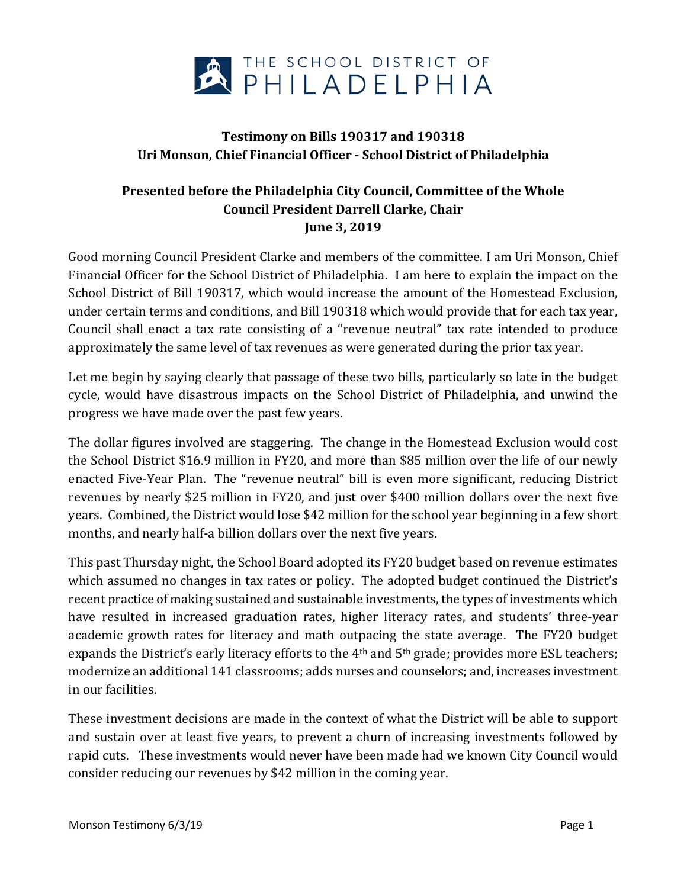

## **Testimony on Bills 190317 and 190318 Uri Monson, Chief Financial Officer - School District of Philadelphia**

## **Presented before the Philadelphia City Council, Committee of the Whole Council President Darrell Clarke, Chair June 3, 2019**

Good morning Council President Clarke and members of the committee. I am Uri Monson, Chief Financial Officer for the School District of Philadelphia. I am here to explain the impact on the School District of Bill 190317, which would increase the amount of the Homestead Exclusion, under certain terms and conditions, and Bill 190318 which would provide that for each tax year, Council shall enact a tax rate consisting of a "revenue neutral" tax rate intended to produce approximately the same level of tax revenues as were generated during the prior tax year.

Let me begin by saying clearly that passage of these two bills, particularly so late in the budget cycle, would have disastrous impacts on the School District of Philadelphia, and unwind the progress we have made over the past few years.

The dollar figures involved are staggering. The change in the Homestead Exclusion would cost the School District \$16.9 million in FY20, and more than \$85 million over the life of our newly enacted Five-Year Plan. The "revenue neutral" bill is even more significant, reducing District revenues by nearly \$25 million in FY20, and just over \$400 million dollars over the next five years. Combined, the District would lose \$42 million for the school year beginning in a few short months, and nearly half-a billion dollars over the next five years.

This past Thursday night, the School Board adopted its FY20 budget based on revenue estimates which assumed no changes in tax rates or policy. The adopted budget continued the District's recent practice of making sustained and sustainable investments, the types of investments which have resulted in increased graduation rates, higher literacy rates, and students' three-year academic growth rates for literacy and math outpacing the state average. The FY20 budget expands the District's early literacy efforts to the 4<sup>th</sup> and 5<sup>th</sup> grade; provides more ESL teachers; modernize an additional 141 classrooms; adds nurses and counselors; and, increases investment in our facilities.

These investment decisions are made in the context of what the District will be able to support and sustain over at least five years, to prevent a churn of increasing investments followed by rapid cuts. These investments would never have been made had we known City Council would consider reducing our revenues by \$42 million in the coming year.